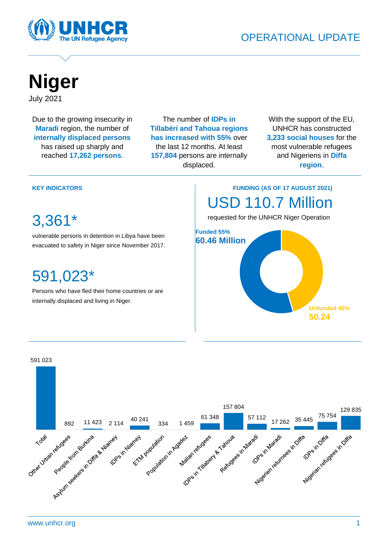



## **Niger** July 2021

Due to the growing insecurity in **Maradi** region, the number of **internally displaced persons** has raised up sharply and reached **17,262 persons**.

The number of **IDPs in Tillabéri and Tahoua regions has increased with 55%** over the last 12 months. At least **157,804** persons are internally displaced.

With the support of the EU, UNHCR has constructed **3,233 social houses** for the most vulnerable refugees and Nigeriens in **Diffa region**.

#### **KEY INDICATORS**

3,361\*

vulnerable persons in detention in Libya have been evacuated to safety in Niger since November 2017.

## 591,023\*

asylum seekers in Niger.

Persons who have fled their home countries or are internally displaced and living in Niger.

### **FUNDING (AS OF 17 AUGUST 2021)** USD 110.7 Million

requested for the UNHCR Niger Operation



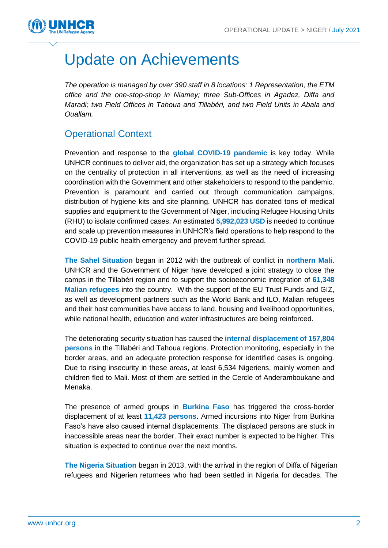

# Update on Achievements

*The operation is managed by over 390 staff in 8 locations: 1 Representation, the ETM office and the one-stop-shop in Niamey; three Sub-Offices in Agadez, Diffa and Maradi; two Field Offices in Tahoua and Tillabéri, and two Field Units in Abala and Ouallam.*

### Operational Context

Prevention and response to the **global COVID-19 pandemic** is key today. While UNHCR continues to deliver aid, the organization has set up a strategy which focuses on the centrality of protection in all interventions, as well as the need of increasing coordination with the Government and other stakeholders to respond to the pandemic. Prevention is paramount and carried out through communication campaigns, distribution of hygiene kits and site planning. UNHCR has donated tons of medical supplies and equipment to the Government of Niger, including Refugee Housing Units (RHU) to isolate confirmed cases. An estimated **5,992,023 USD** is needed to continue and scale up prevention measures in UNHCR's field operations to help respond to the COVID-19 public health emergency and prevent further spread.

**The Sahel Situation** began in 2012 with the outbreak of conflict in **northern Mali**. UNHCR and the Government of Niger have developed a joint strategy to close the camps in the Tillabéri region and to support the socioeconomic integration of **61,348 Malian refugees** into the country. With the support of the EU Trust Funds and GIZ, as well as development partners such as the World Bank and ILO, Malian refugees and their host communities have access to land, housing and livelihood opportunities, while national health, education and water infrastructures are being reinforced.

The deteriorating security situation has caused the **internal displacement of 157,804 persons** in the Tillabéri and Tahoua regions. Protection monitoring, especially in the border areas, and an adequate protection response for identified cases is ongoing. Due to rising insecurity in these areas, at least 6,534 Nigeriens, mainly women and children fled to Mali. Most of them are settled in the Cercle of Anderamboukane and Menaka.

The presence of armed groups in **Burkina Faso** has triggered the cross-border displacement of at least **11,423 persons**. Armed incursions into Niger from Burkina Faso's have also caused internal displacements. The displaced persons are stuck in inaccessible areas near the border. Their exact number is expected to be higher. This situation is expected to continue over the next months.

**The Nigeria Situation** began in 2013, with the arrival in the region of Diffa of Nigerian refugees and Nigerien returnees who had been settled in Nigeria for decades. The